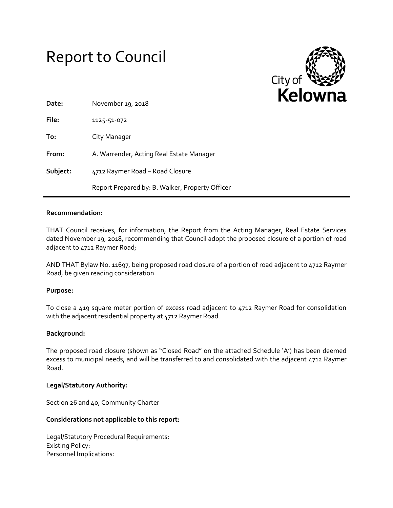# Report to Council



| Date:    | November 19, 2018                               |
|----------|-------------------------------------------------|
| File:    | 1125-51-072                                     |
| To:      | City Manager                                    |
| From:    | A. Warrender, Acting Real Estate Manager        |
| Subject: | 4712 Raymer Road - Road Closure                 |
|          | Report Prepared by: B. Walker, Property Officer |

## **Recommendation:**

THAT Council receives, for information, the Report from the Acting Manager, Real Estate Services dated November 19, 2018, recommending that Council adopt the proposed closure of a portion of road adjacent to 4712 Raymer Road;

AND THAT Bylaw No. 11697, being proposed road closure of a portion of road adjacent to 4712 Raymer Road, be given reading consideration.

### **Purpose:**

To close a 419 square meter portion of excess road adjacent to 4712 Raymer Road for consolidation with the adjacent residential property at 4712 Raymer Road.

### **Background:**

The proposed road closure (shown as "Closed Road" on the attached Schedule 'A') has been deemed excess to municipal needs, and will be transferred to and consolidated with the adjacent 4712 Raymer Road.

### **Legal/Statutory Authority:**

Section 26 and 40, Community Charter

### **Considerations not applicable to this report:**

Legal/Statutory Procedural Requirements: Existing Policy: Personnel Implications: